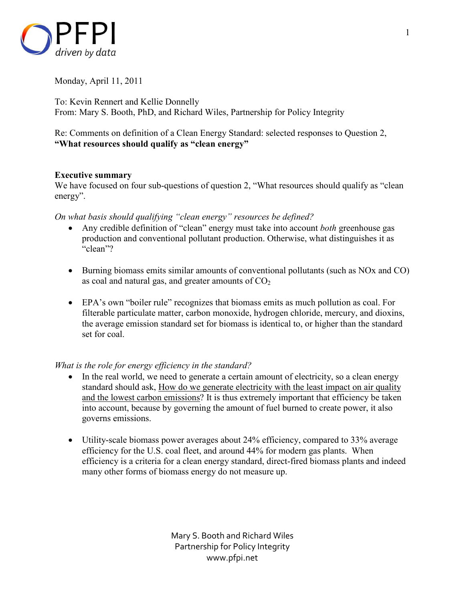

Monday, April 11, 2011

To: Kevin Rennert and Kellie Donnelly From: Mary S. Booth, PhD, and Richard Wiles, Partnership for Policy Integrity

Re: Comments on definition of a Clean Energy Standard: selected responses to Question 2, **"What resources should qualify as "clean energy"** 

## **Executive summary**

We have focused on four sub-questions of question 2, "What resources should qualify as "clean" energy".

*On what basis should qualifying "clean energy" resources be defined?*

- Any credible definition of "clean" energy must take into account *both* greenhouse gas production and conventional pollutant production. Otherwise, what distinguishes it as "clean"?
- Burning biomass emits similar amounts of conventional pollutants (such as NOx and CO) as coal and natural gas, and greater amounts of  $CO<sub>2</sub>$
- EPA's own "boiler rule" recognizes that biomass emits as much pollution as coal. For filterable particulate matter, carbon monoxide, hydrogen chloride, mercury, and dioxins, the average emission standard set for biomass is identical to, or higher than the standard set for coal.

# *What is the role for energy efficiency in the standard?*

- In the real world, we need to generate a certain amount of electricity, so a clean energy standard should ask, How do we generate electricity with the least impact on air quality and the lowest carbon emissions? It is thus extremely important that efficiency be taken into account, because by governing the amount of fuel burned to create power, it also governs emissions.
- Utility-scale biomass power averages about 24% efficiency, compared to 33% average efficiency for the U.S. coal fleet, and around 44% for modern gas plants. When efficiency is a criteria for a clean energy standard, direct-fired biomass plants and indeed many other forms of biomass energy do not measure up.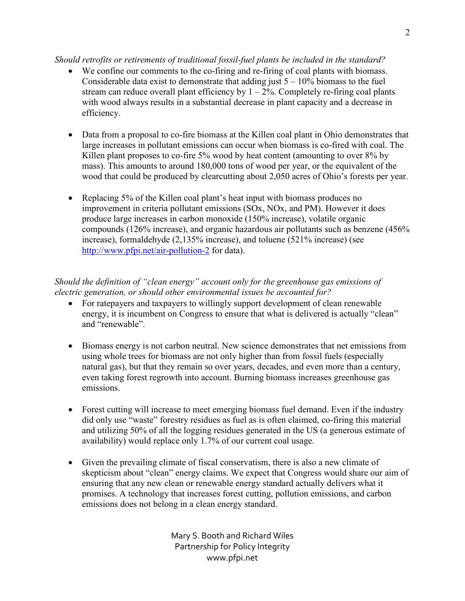## *Should retrofits or retirements of traditional fossil-fuel plants be included in the standard?*

- We confine our comments to the co-firing and re-firing of coal plants with biomass. Considerable data exist to demonstrate that adding just  $5 - 10\%$  biomass to the fuel stream can reduce overall plant efficiency by  $1 - 2\%$ . Completely re-firing coal plants with wood always results in a substantial decrease in plant capacity and a decrease in efficiency.
- Data from a proposal to co-fire biomass at the Killen coal plant in Ohio demonstrates that large increases in pollutant emissions can occur when biomass is co-fired with coal. The Killen plant proposes to co-fire 5% wood by heat content (amounting to over 8% by mass). This amounts to around 180,000 tons of wood per year, or the equivalent of the wood that could be produced by clearcutting about 2,050 acres of Ohio's forests per year.
- Replacing 5% of the Killen coal plant's heat input with biomass produces no improvement in criteria pollutant emissions (SOx, NOx, and PM). However it does produce large increases in carbon monoxide (150% increase), volatile organic compounds (126% increase), and organic hazardous air pollutants such as benzene (456% increase), formaldehyde (2,135% increase), and toluene (521% increase) (see http://www.pfpi.net/air-pollution-2 for data).

*Should the definition of "clean energy" account only for the greenhouse gas emissions of electric generation, or should other environmental issues be accounted for?*

- For ratepayers and taxpayers to willingly support development of clean renewable energy, it is incumbent on Congress to ensure that what is delivered is actually "clean" and "renewable".
- Biomass energy is not carbon neutral. New science demonstrates that net emissions from using whole trees for biomass are not only higher than from fossil fuels (especially natural gas), but that they remain so over years, decades, and even more than a century, even taking forest regrowth into account. Burning biomass increases greenhouse gas emissions.
- Forest cutting will increase to meet emerging biomass fuel demand. Even if the industry did only use "waste" forestry residues as fuel as is often claimed, co-firing this material and utilizing 50% of all the logging residues generated in the US (a generous estimate of availability) would replace only 1.7% of our current coal usage.
- Given the prevailing climate of fiscal conservatism, there is also a new climate of skepticism about "clean" energy claims. We expect that Congress would share our aim of ensuring that any new clean or renewable energy standard actually delivers what it promises. A technology that increases forest cutting, pollution emissions, and carbon emissions does not belong in a clean energy standard.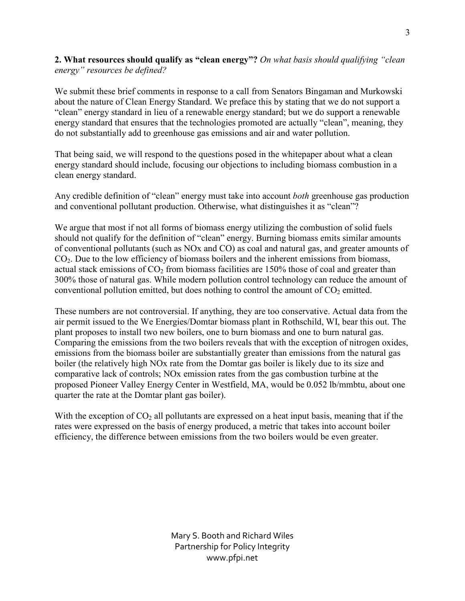**2. What resources should qualify as "clean energy"?** *On what basis should qualifying "clean energy" resources be defined?*

We submit these brief comments in response to a call from Senators Bingaman and Murkowski about the nature of Clean Energy Standard. We preface this by stating that we do not support a "clean" energy standard in lieu of a renewable energy standard; but we do support a renewable energy standard that ensures that the technologies promoted are actually "clean", meaning, they do not substantially add to greenhouse gas emissions and air and water pollution.

That being said, we will respond to the questions posed in the whitepaper about what a clean energy standard should include, focusing our objections to including biomass combustion in a clean energy standard.

Any credible definition of "clean" energy must take into account *both* greenhouse gas production and conventional pollutant production. Otherwise, what distinguishes it as "clean"?

We argue that most if not all forms of biomass energy utilizing the combustion of solid fuels should not qualify for the definition of "clean" energy. Burning biomass emits similar amounts of conventional pollutants (such as NOx and CO) as coal and natural gas, and greater amounts of CO2. Due to the low efficiency of biomass boilers and the inherent emissions from biomass, actual stack emissions of  $CO<sub>2</sub>$  from biomass facilities are 150% those of coal and greater than 300% those of natural gas. While modern pollution control technology can reduce the amount of conventional pollution emitted, but does nothing to control the amount of  $CO<sub>2</sub>$  emitted.

These numbers are not controversial. If anything, they are too conservative. Actual data from the air permit issued to the We Energies/Domtar biomass plant in Rothschild, WI, bear this out. The plant proposes to install two new boilers, one to burn biomass and one to burn natural gas. Comparing the emissions from the two boilers reveals that with the exception of nitrogen oxides, emissions from the biomass boiler are substantially greater than emissions from the natural gas boiler (the relatively high NOx rate from the Domtar gas boiler is likely due to its size and comparative lack of controls; NOx emission rates from the gas combustion turbine at the proposed Pioneer Valley Energy Center in Westfield, MA, would be 0.052 lb/mmbtu, about one quarter the rate at the Domtar plant gas boiler).

With the exception of  $CO<sub>2</sub>$  all pollutants are expressed on a heat input basis, meaning that if the rates were expressed on the basis of energy produced, a metric that takes into account boiler efficiency, the difference between emissions from the two boilers would be even greater.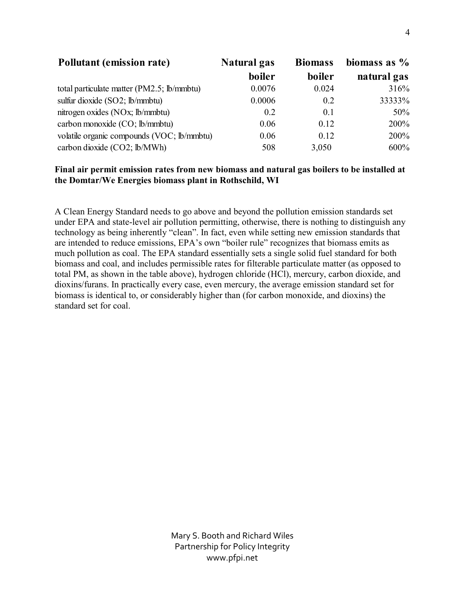| <b>Pollutant (emission rate)</b>           | <b>Natural gas</b> | <b>Biomass</b> | biomass as $\%$ |  |
|--------------------------------------------|--------------------|----------------|-----------------|--|
|                                            | boiler             | boiler         | natural gas     |  |
| total particulate matter (PM2.5; lb/mmbtu) | 0.0076             | 0.024          | 316%            |  |
| sulfur dioxide $(SO2; lb/mmbtu)$           | 0.0006             | 02             | 33333%          |  |
| nitrogen oxides (NOx; lb/mmbtu)            | 0.2                | 0.1            | 50%             |  |
| carbon monoxide (CO; lb/mmbtu)             | 0.06               | 0.12           | 200%            |  |
| volatile organic compounds (VOC; lb/mmbtu) | 0.06               | 0.12           | 200%            |  |
| carbon dioxide (CO2; lb/MWh)               | 508                | 3,050          | 600%            |  |

#### **Final air permit emission rates from new biomass and natural gas boilers to be installed at the Domtar/We Energies biomass plant in Rothschild, WI**

A Clean Energy Standard needs to go above and beyond the pollution emission standards set under EPA and state-level air pollution permitting, otherwise, there is nothing to distinguish any technology as being inherently "clean". In fact, even while setting new emission standards that are intended to reduce emissions, EPA's own "boiler rule" recognizes that biomass emits as much pollution as coal. The EPA standard essentially sets a single solid fuel standard for both biomass and coal, and includes permissible rates for filterable particulate matter (as opposed to total PM, as shown in the table above), hydrogen chloride (HCl), mercury, carbon dioxide, and dioxins/furans. In practically every case, even mercury, the average emission standard set for biomass is identical to, or considerably higher than (for carbon monoxide, and dioxins) the standard set for coal.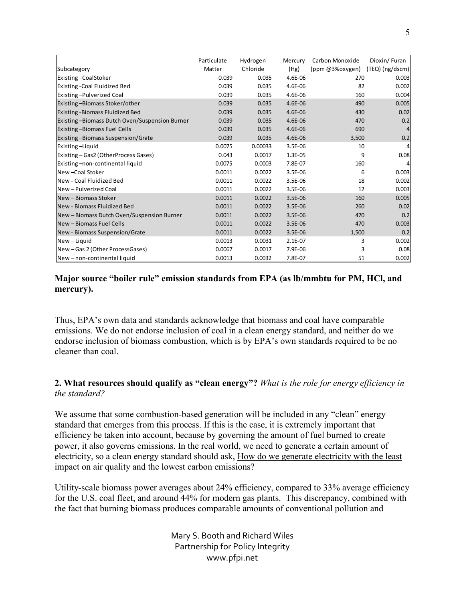|                                               | Particulate | Hydrogen | Mercury   | Carbon Monoxide | Dioxin/Furan      |
|-----------------------------------------------|-------------|----------|-----------|-----------------|-------------------|
| Subcategory                                   | Matter      | Chloride | (Hg)      | (ppm @3%oxygen) | $(TEQ)$ (ng/dscm) |
| Existing-CoalStoker                           | 0.039       | 0.035    | 4.6E-06   | 270             | 0.003             |
| Existing - Coal Fluidized Bed                 | 0.039       | 0.035    | 4.6E-06   | 82              | 0.002             |
| Existing-Pulverized Coal                      | 0.039       | 0.035    | 4.6E-06   | 160             | 0.004             |
| Existing -Biomass Stoker/other                | 0.039       | 0.035    | 4.6E-06   | 490             | 0.005             |
| Existing - Biomass Fluidized Bed              | 0.039       | 0.035    | 4.6E-06   | 430             | 0.02              |
| Existing-Biomass Dutch Oven/Suspension Burner | 0.039       | 0.035    | 4.6E-06   | 470             | 0.2               |
| <b>Existing -Biomass Fuel Cells</b>           | 0.039       | 0.035    | 4.6E-06   | 690             | $\overline{4}$    |
| Existing-Biomass Suspension/Grate             | 0.039       | 0.035    | 4.6E-06   | 3,500           | 0.2               |
| Existing-Liquid                               | 0.0075      | 0.00033  | $3.5E-06$ | 10              | 4                 |
| Existing – Gas2 (OtherProcess Gases)          | 0.043       | 0.0017   | $1.3E-05$ | 9               | 0.08              |
| Existing-non-continental liquid               | 0.0075      | 0.0003   | 7.8E-07   | 160             | 4                 |
| New - Coal Stoker                             | 0.0011      | 0.0022   | 3.5E-06   | 6               | 0.003             |
| <b>I</b> New - Coal Fluidized Bed             | 0.0011      | 0.0022   | 3.5E-06   | 18              | 0.002             |
| New - Pulverized Coal                         | 0.0011      | 0.0022   | 3.5E-06   | 12              | 0.003             |
| New - Biomass Stoker                          | 0.0011      | 0.0022   | $3.5E-06$ | 160             | 0.005             |
| New - Biomass Fluidized Bed                   | 0.0011      | 0.0022   | $3.5E-06$ | 260             | 0.02              |
| New - Biomass Dutch Oven/Suspension Burner    | 0.0011      | 0.0022   | $3.5E-06$ | 470             | 0.2               |
| New - Biomass Fuel Cells                      | 0.0011      | 0.0022   | $3.5E-06$ | 470             | 0.003             |
| New - Biomass Suspension/Grate                | 0.0011      | 0.0022   | $3.5E-06$ | 1,500           | 0.2               |
| New-Liquid                                    | 0.0013      | 0.0031   | $2.1E-07$ | 3               | 0.002             |
| New-Gas 2 (Other ProcessGases)                | 0.0067      | 0.0017   | 7.9E-06   | 3               | 0.08              |
| New-non-continental liquid                    | 0.0013      | 0.0032   | 7.8E-07   | 51              | 0.002             |

## **Major source "boiler rule" emission standards from EPA (as lb/mmbtu for PM, HCl, and mercury).**

Thus, EPA's own data and standards acknowledge that biomass and coal have comparable emissions. We do not endorse inclusion of coal in a clean energy standard, and neither do we endorse inclusion of biomass combustion, which is by EPA's own standards required to be no cleaner than coal.

## **2. What resources should qualify as "clean energy"?** *What is the role for energy efficiency in the standard?*

We assume that some combustion-based generation will be included in any "clean" energy standard that emerges from this process. If this is the case, it is extremely important that efficiency be taken into account, because by governing the amount of fuel burned to create power, it also governs emissions. In the real world, we need to generate a certain amount of electricity, so a clean energy standard should ask, How do we generate electricity with the least impact on air quality and the lowest carbon emissions?

Utility-scale biomass power averages about 24% efficiency, compared to 33% average efficiency for the U.S. coal fleet, and around 44% for modern gas plants. This discrepancy, combined with the fact that burning biomass produces comparable amounts of conventional pollution and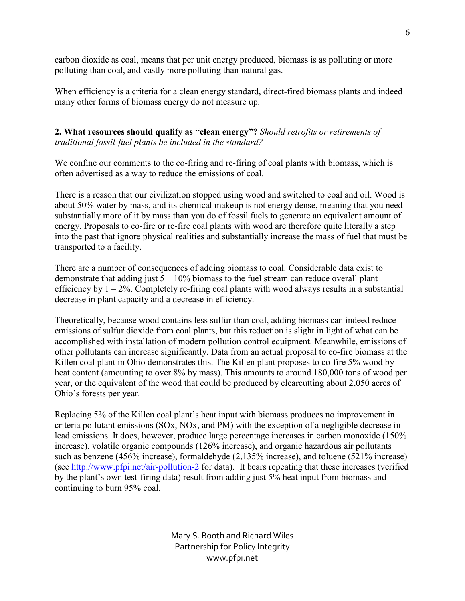carbon dioxide as coal, means that per unit energy produced, biomass is as polluting or more polluting than coal, and vastly more polluting than natural gas.

When efficiency is a criteria for a clean energy standard, direct-fired biomass plants and indeed many other forms of biomass energy do not measure up.

## **2. What resources should qualify as "clean energy"?** *Should retrofits or retirements of traditional fossil-fuel plants be included in the standard?*

We confine our comments to the co-firing and re-firing of coal plants with biomass, which is often advertised as a way to reduce the emissions of coal.

There is a reason that our civilization stopped using wood and switched to coal and oil. Wood is about 50% water by mass, and its chemical makeup is not energy dense, meaning that you need substantially more of it by mass than you do of fossil fuels to generate an equivalent amount of energy. Proposals to co-fire or re-fire coal plants with wood are therefore quite literally a step into the past that ignore physical realities and substantially increase the mass of fuel that must be transported to a facility.

There are a number of consequences of adding biomass to coal. Considerable data exist to demonstrate that adding just  $5 - 10\%$  biomass to the fuel stream can reduce overall plant efficiency by  $1 - 2\%$ . Completely re-firing coal plants with wood always results in a substantial decrease in plant capacity and a decrease in efficiency.

Theoretically, because wood contains less sulfur than coal, adding biomass can indeed reduce emissions of sulfur dioxide from coal plants, but this reduction is slight in light of what can be accomplished with installation of modern pollution control equipment. Meanwhile, emissions of other pollutants can increase significantly. Data from an actual proposal to co-fire biomass at the Killen coal plant in Ohio demonstrates this. The Killen plant proposes to co-fire 5% wood by heat content (amounting to over 8% by mass). This amounts to around 180,000 tons of wood per year, or the equivalent of the wood that could be produced by clearcutting about 2,050 acres of Ohio's forests per year.

Replacing 5% of the Killen coal plant's heat input with biomass produces no improvement in criteria pollutant emissions (SOx, NOx, and PM) with the exception of a negligible decrease in lead emissions. It does, however, produce large percentage increases in carbon monoxide (150% increase), volatile organic compounds (126% increase), and organic hazardous air pollutants such as benzene (456% increase), formaldehyde (2,135% increase), and toluene (521% increase) (see http://www.pfpi.net/air-pollution-2 for data). It bears repeating that these increases (verified by the plant's own test-firing data) result from adding just 5% heat input from biomass and continuing to burn 95% coal.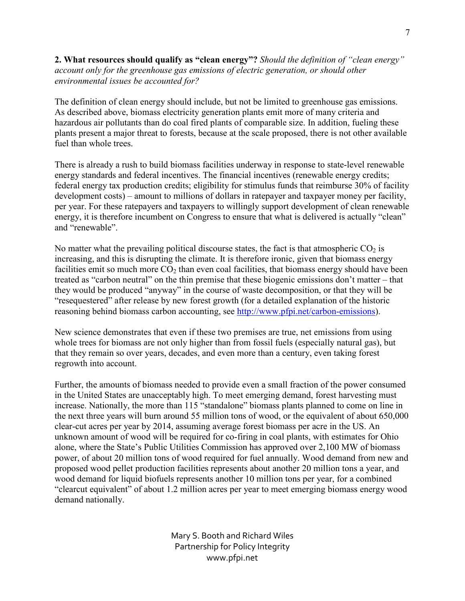**2. What resources should qualify as "clean energy"?** *Should the definition of "clean energy" account only for the greenhouse gas emissions of electric generation, or should other environmental issues be accounted for?*

The definition of clean energy should include, but not be limited to greenhouse gas emissions. As described above, biomass electricity generation plants emit more of many criteria and hazardous air pollutants than do coal fired plants of comparable size. In addition, fueling these plants present a major threat to forests, because at the scale proposed, there is not other available fuel than whole trees.

There is already a rush to build biomass facilities underway in response to state-level renewable energy standards and federal incentives. The financial incentives (renewable energy credits; federal energy tax production credits; eligibility for stimulus funds that reimburse 30% of facility development costs) – amount to millions of dollars in ratepayer and taxpayer money per facility, per year. For these ratepayers and taxpayers to willingly support development of clean renewable energy, it is therefore incumbent on Congress to ensure that what is delivered is actually "clean" and "renewable".

No matter what the prevailing political discourse states, the fact is that atmospheric  $CO<sub>2</sub>$  is increasing, and this is disrupting the climate. It is therefore ironic, given that biomass energy facilities emit so much more  $CO<sub>2</sub>$  than even coal facilities, that biomass energy should have been treated as "carbon neutral" on the thin premise that these biogenic emissions don't matter – that they would be produced "anyway" in the course of waste decomposition, or that they will be "resequestered" after release by new forest growth (for a detailed explanation of the historic reasoning behind biomass carbon accounting, see http://www.pfpi.net/carbon-emissions).

New science demonstrates that even if these two premises are true, net emissions from using whole trees for biomass are not only higher than from fossil fuels (especially natural gas), but that they remain so over years, decades, and even more than a century, even taking forest regrowth into account.

Further, the amounts of biomass needed to provide even a small fraction of the power consumed in the United States are unacceptably high. To meet emerging demand, forest harvesting must increase. Nationally, the more than 115 "standalone" biomass plants planned to come on line in the next three years will burn around 55 million tons of wood, or the equivalent of about 650,000 clear-cut acres per year by 2014, assuming average forest biomass per acre in the US. An unknown amount of wood will be required for co-firing in coal plants, with estimates for Ohio alone, where the State's Public Utilities Commission has approved over 2,100 MW of biomass power, of about 20 million tons of wood required for fuel annually. Wood demand from new and proposed wood pellet production facilities represents about another 20 million tons a year, and wood demand for liquid biofuels represents another 10 million tons per year, for a combined "clearcut equivalent" of about 1.2 million acres per year to meet emerging biomass energy wood demand nationally.